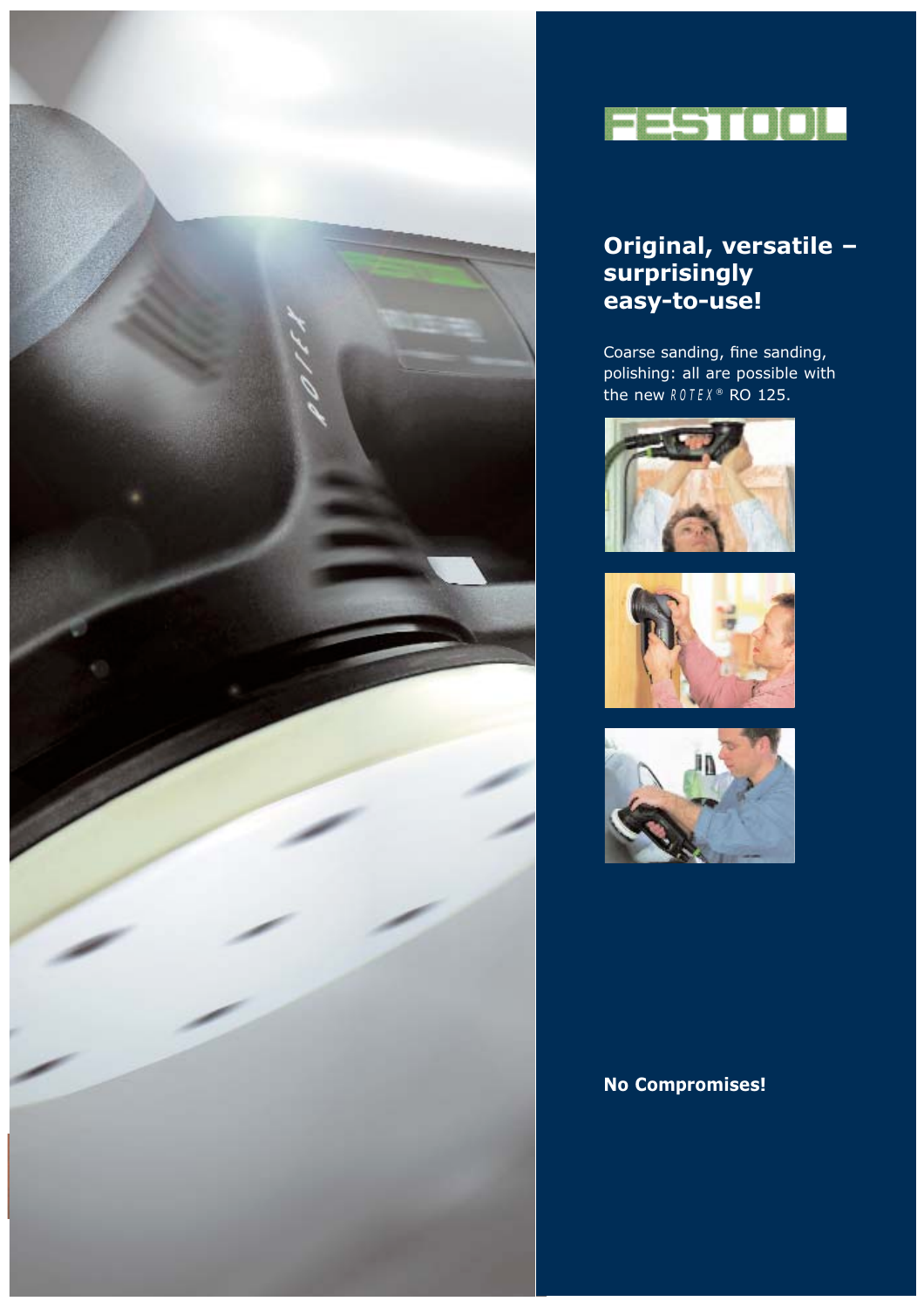



### **Original, versatile – surprisingly easy-to-use!**

Coarse sanding, fine sanding, polishing: all are possible with the new *R O TEX* ® RO 125.







### **No Compromises!**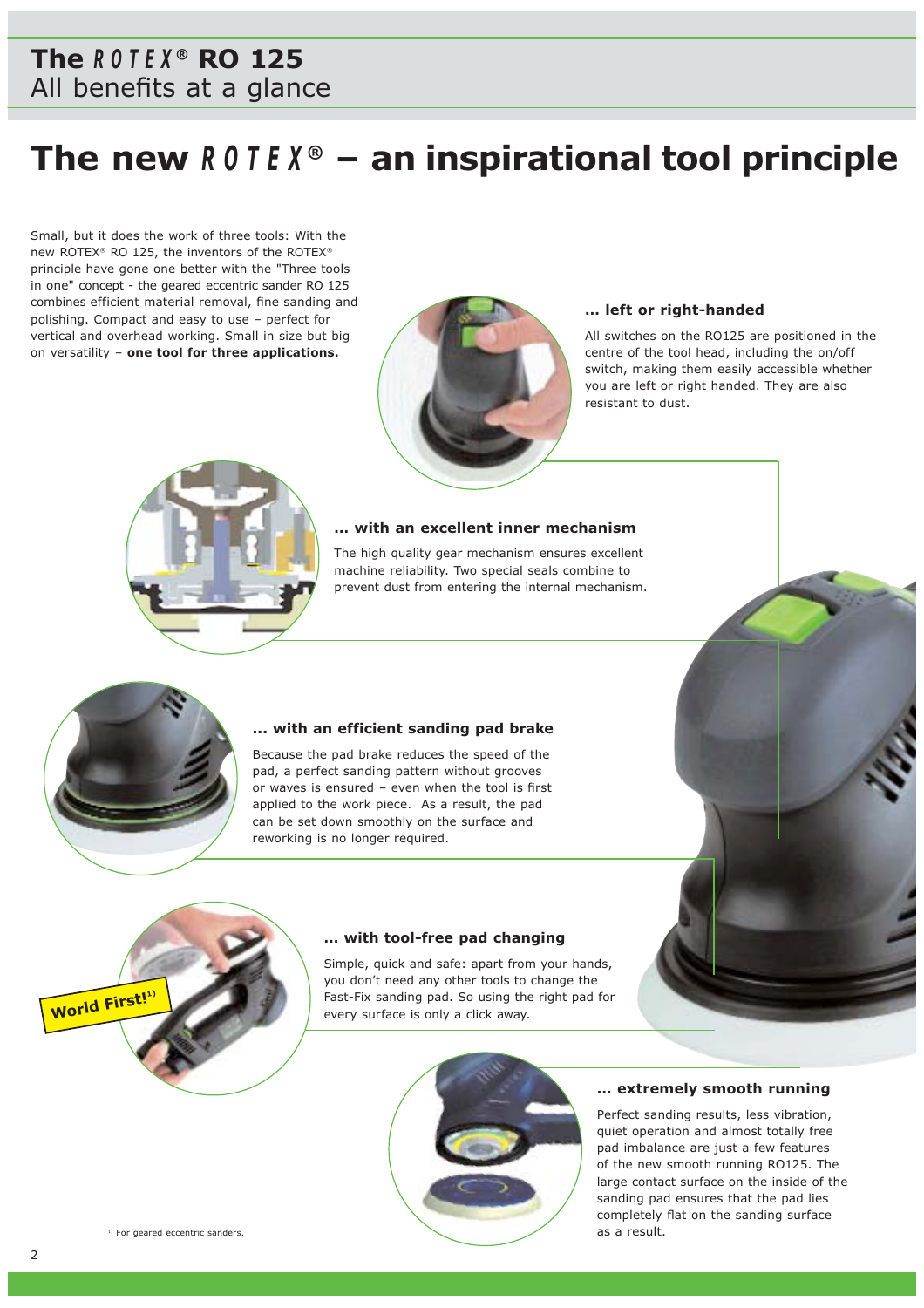## **Festool The** *ROTEX ®* **RO 125** All benefits at a glance

# **The new** *ROTEX ®* **– an inspirational tool principle**

Small, but it does the work of three tools: With the new ROTEX® RO 125, the inventors of the ROTEX® principle have gone one better with the "Three tools in one" concept - the geared eccentric sander RO 125 combines efficient material removal, fine sanding and polishing. Compact and easy to use – perfect for vertical and overhead working. Small in size but big on versatility – **one tool for three applications.**



#### **… left or right-handed**

All switches on the RO125 are positioned in the centre of the tool head, including the on/off switch, making them easily accessible whether you are left or right handed. They are also resistant to dust.



#### **… with an excellent inner mechanism**

The high quality gear mechanism ensures excellent machine reliability. Two special seals combine to prevent dust from entering the internal mechanism.



**World First!1)**

### **... with an efficient sanding pad brake**

Because the pad brake reduces the speed of the pad, a perfect sanding pattern without grooves or waves is ensured – even when the tool is first applied to the work piece. As a result, the pad can be set down smoothly on the surface and reworking is no longer required.

#### **… with tool-free pad changing**

Simple, quick and safe: apart from your hands, you don't need any other tools to change the Fast-Fix sanding pad. So using the right pad for every surface is only a click away.



#### **… extremely smooth running**

Perfect sanding results, less vibration, quiet operation and almost totally free pad imbalance are just a few features of the new smooth running RO125. The large contact surface on the inside of the sanding pad ensures that the pad lies completely flat on the sanding surface as a result.

<sup>1)</sup> For geared eccentric sanders.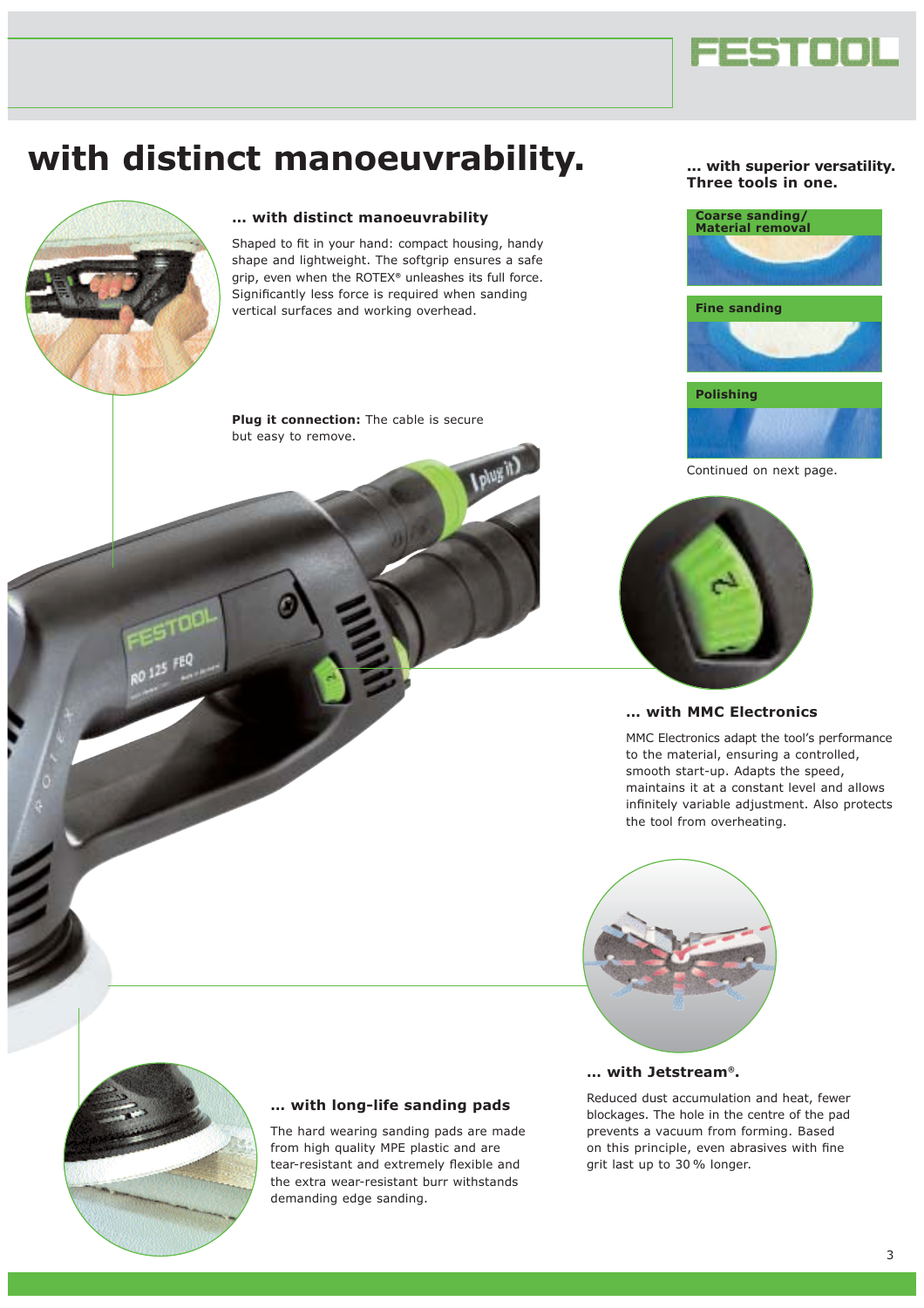

# **with distinct manoeuvrability.**



#### **… with distinct manoeuvrability**

Shaped to fit in your hand: compact housing, handy shape and lightweight. The softgrip ensures a safe grip, even when the ROTEX*®* unleashes its full force. Significantly less force is required when sanding vertical surfaces and working overhead.

**Plug it connection:** The cable is secure but easy to remove.

#### **... with superior versatility. Three tools in one.**





Continued on next page.



#### **… with MMC Electronics**

MMC Electronics adapt the tool's performance to the material, ensuring a controlled, smooth start-up. Adapts the speed, maintains it at a constant level and allows infinitely variable adjustment. Also protects the tool from overheating.





#### **… with long-life sanding pads**

The hard wearing sanding pads are made from high quality MPE plastic and are tear-resistant and extremely flexible and the extra wear-resistant burr withstands demanding edge sanding.

#### **… with Jetstream®.**

Reduced dust accumulation and heat, fewer blockages. The hole in the centre of the pad prevents a vacuum from forming. Based on this principle, even abrasives with fine grit last up to 30 % longer.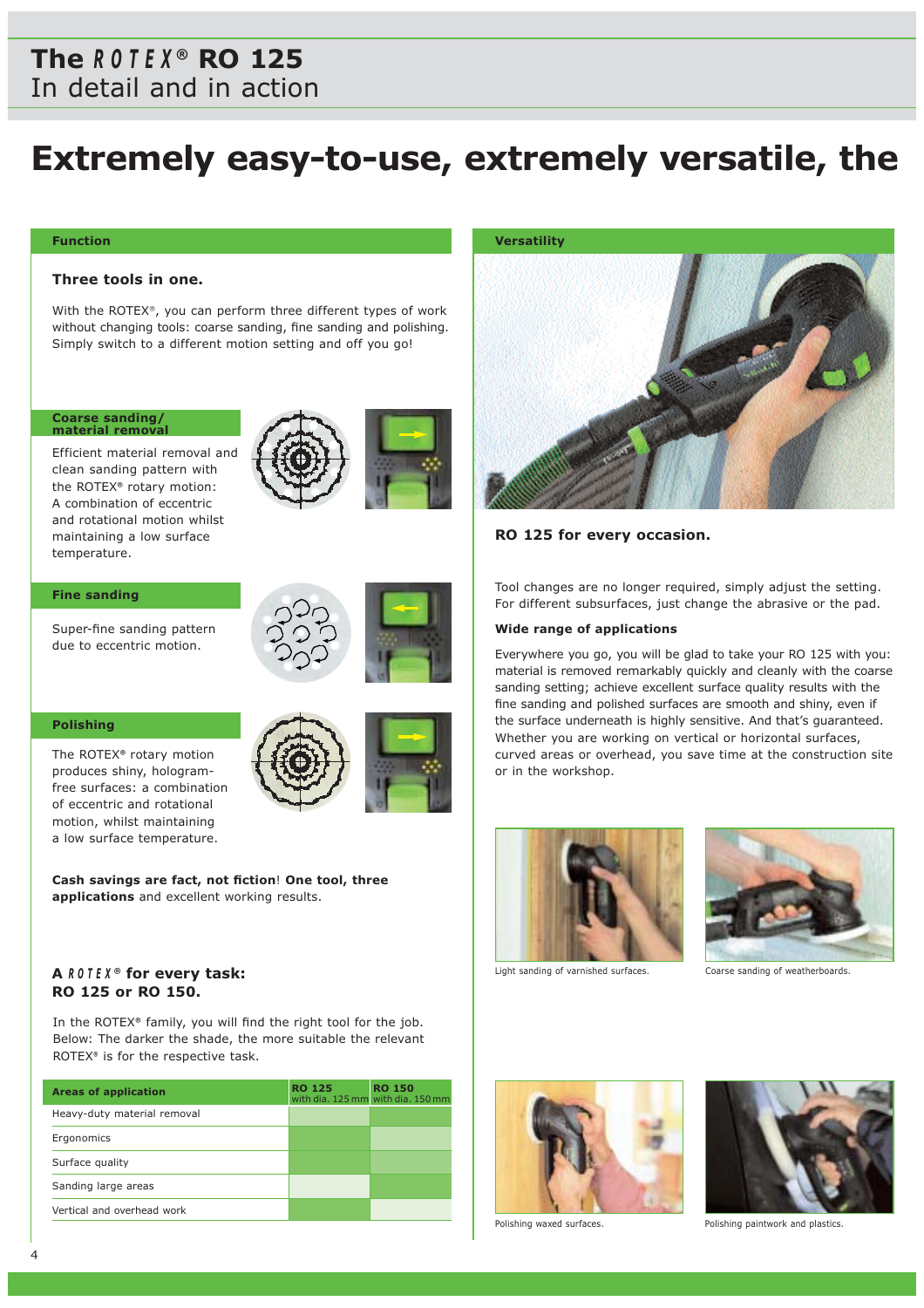### **The** *ROTEX ®* **RO 125** In detail and in action

# **Extremely easy-to-use, extremely versatile, the**

#### **Function**

#### **Three tools in one.**

With the ROTEX®, you can perform three different types of work without changing tools: coarse sanding, fine sanding and polishing. Simply switch to a different motion setting and off you go!

### **Coarse sanding/ material removal**

Efficient material removal and clean sanding pattern with the ROTEX*®* rotary motion: A combination of eccentric and rotational motion whilst maintaining a low surface temperature.

#### **Fine sanding**

Super-fine sanding pattern due to eccentric motion.



#### **Polishing**

The ROTEX*®* rotary motion produces shiny, hologramfree surfaces: a combination of eccentric and rotational motion, whilst maintaining a low surface temperature.



**Cash savings are fact, not fiction**! **One tool, three applications** and excellent working results.

### **A** *R O TEX ®* **for every task: RO 125 or RO 150.**

In the ROTEX*®* family, you will find the right tool for the job. Below: The darker the shade, the more suitable the relevant ROTEX*®* is for the respective task.

| <b>Areas of application</b> | <b>RO 125</b> | <b>RO 150</b><br>with dia. 125 mm with dia. 150 mm |
|-----------------------------|---------------|----------------------------------------------------|
| Heavy-duty material removal |               |                                                    |
| Ergonomics                  |               |                                                    |
| Surface quality             |               |                                                    |
| Sanding large areas         |               |                                                    |
| Vertical and overhead work  |               |                                                    |

#### **Versatility**



#### **RO 125 for every occasion.**

Tool changes are no longer required, simply adjust the setting. For different subsurfaces, just change the abrasive or the pad.

#### **Wide range of applications**

Everywhere you go, you will be glad to take your RO 125 with you: material is removed remarkably quickly and cleanly with the coarse sanding setting; achieve excellent surface quality results with the fine sanding and polished surfaces are smooth and shiny, even if the surface underneath is highly sensitive. And that's guaranteed. Whether you are working on vertical or horizontal surfaces, curved areas or overhead, you save time at the construction site or in the workshop.



Light sanding of varnished surfaces.

Coarse sanding of weatherboards.







Polishing waxed surfaces. The polishing paintwork and plastics.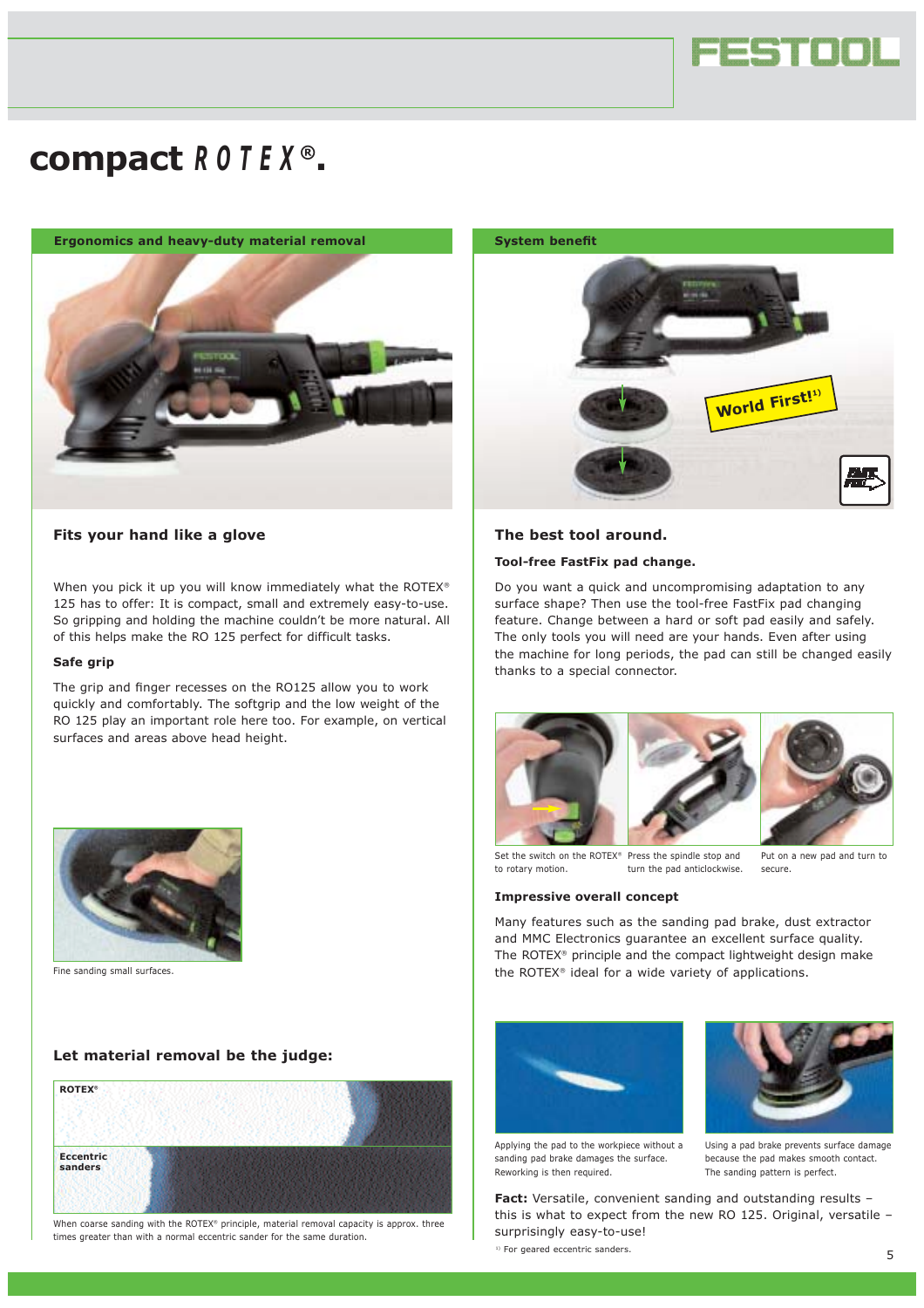

# **compact** *R O TEX ®***.**

**Ergonomics and heavy-duty material removal <b>System benefit** 



#### **Fits your hand like a glove**

When you pick it up you will know immediately what the ROTEX® 125 has to offer: It is compact, small and extremely easy-to-use. So gripping and holding the machine couldn't be more natural. All of this helps make the RO 125 perfect for difficult tasks.

#### **Safe grip**

The grip and finger recesses on the RO125 allow you to work quickly and comfortably. The softgrip and the low weight of the RO 125 play an important role here too. For example, on vertical surfaces and areas above head height.



Fine sanding small surfaces.

#### **Let material removal be the judge:**



When coarse sanding with the ROTEX® principle, material removal capacity is approx. three times greater than with a normal eccentric sander for the same duration.



#### **The best tool around.**

#### **Tool-free FastFix pad change.**

Do you want a quick and uncompromising adaptation to any surface shape? Then use the tool-free FastFix pad changing feature. Change between a hard or soft pad easily and safely. The only tools you will need are your hands. Even after using the machine for long periods, the pad can still be changed easily thanks to a special connector.







Put on a new pad and turn to

Set the switch on the ROTEX® Press the spindle stop and to rotary motion. turn the pad anticlockwise.

**Impressive overall concept**

secure.

Many features such as the sanding pad brake, dust extractor and MMC Electronics guarantee an excellent surface quality. The ROTEX® principle and the compact lightweight design make the ROTEX® ideal for a wide variety of applications.



Applying the pad to the workpiece without a sanding pad brake damages the surface. Reworking is then required.



Using a pad brake prevents surface damage because the pad makes smooth contact. The sanding pattern is perfect.

**Fact:** Versatile, convenient sanding and outstanding results – this is what to expect from the new RO 125. Original, versatile – surprisingly easy-to-use!

<sup>1)</sup> For geared eccentric sanders.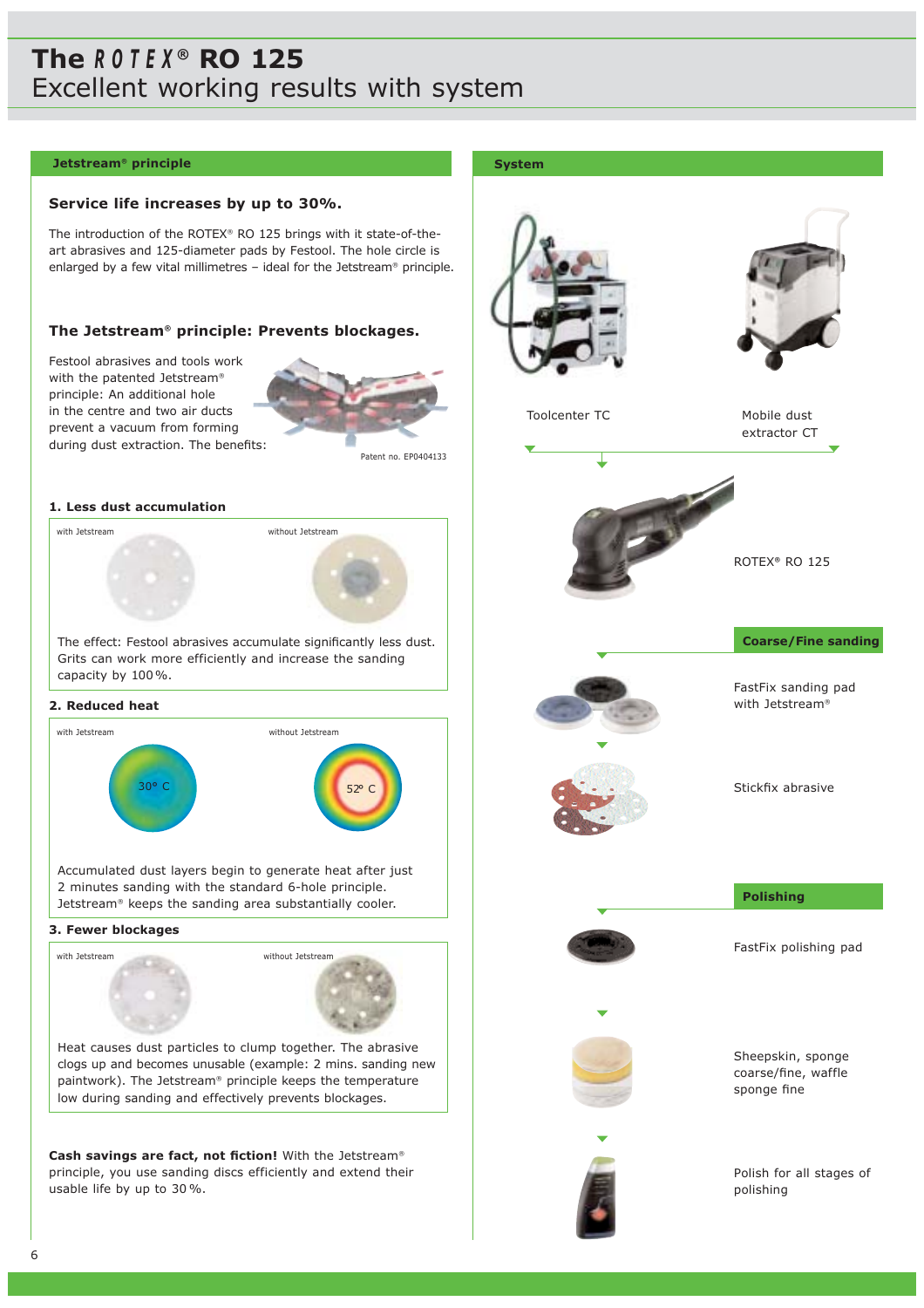## **Festool The** *ROTEX ®* **RO 125** Excellent working results with system

#### **Jetstream®** principle **System**

#### **Service life increases by up to 30%.**

The introduction of the ROTEX® RO 125 brings with it state-of-theart abrasives and 125-diameter pads by Festool. The hole circle is enlarged by a few vital millimetres – ideal for the Jetstream® principle.

#### **The Jetstream® principle: Prevents blockages.**

Festool abrasives and tools work with the patented Jetstream® principle: An additional hole in the centre and two air ducts prevent a vacuum from forming during dust extraction. The benefits:



Patent no. EP0404133

#### **1. Less dust accumulation**

with Jetstream without Jetstream

The effect: Festool abrasives accumulate significantly less dust. Grits can work more efficiently and increase the sanding capacity by 100%.

#### **2. Reduced heat**



Accumulated dust layers begin to generate heat after just 2 minutes sanding with the standard 6-hole principle. Jetstream® keeps the sanding area substantially cooler.

#### **3. Fewer blockages**



**Cash savings are fact, not fiction!** With the Jetstream® principle, you use sanding discs efficiently and extend their usable life by up to 30 %.





Toolcenter TC

Mobile dust extractor CT



**Coarse/Fine sanding**



FastFix sanding pad with Jetstream®



Stickfix abrasive



**Polishing**

FastFix polishing pad



Sheepskin, sponge coarse/fine, waffle sponge fine



Polish for all stages of polishing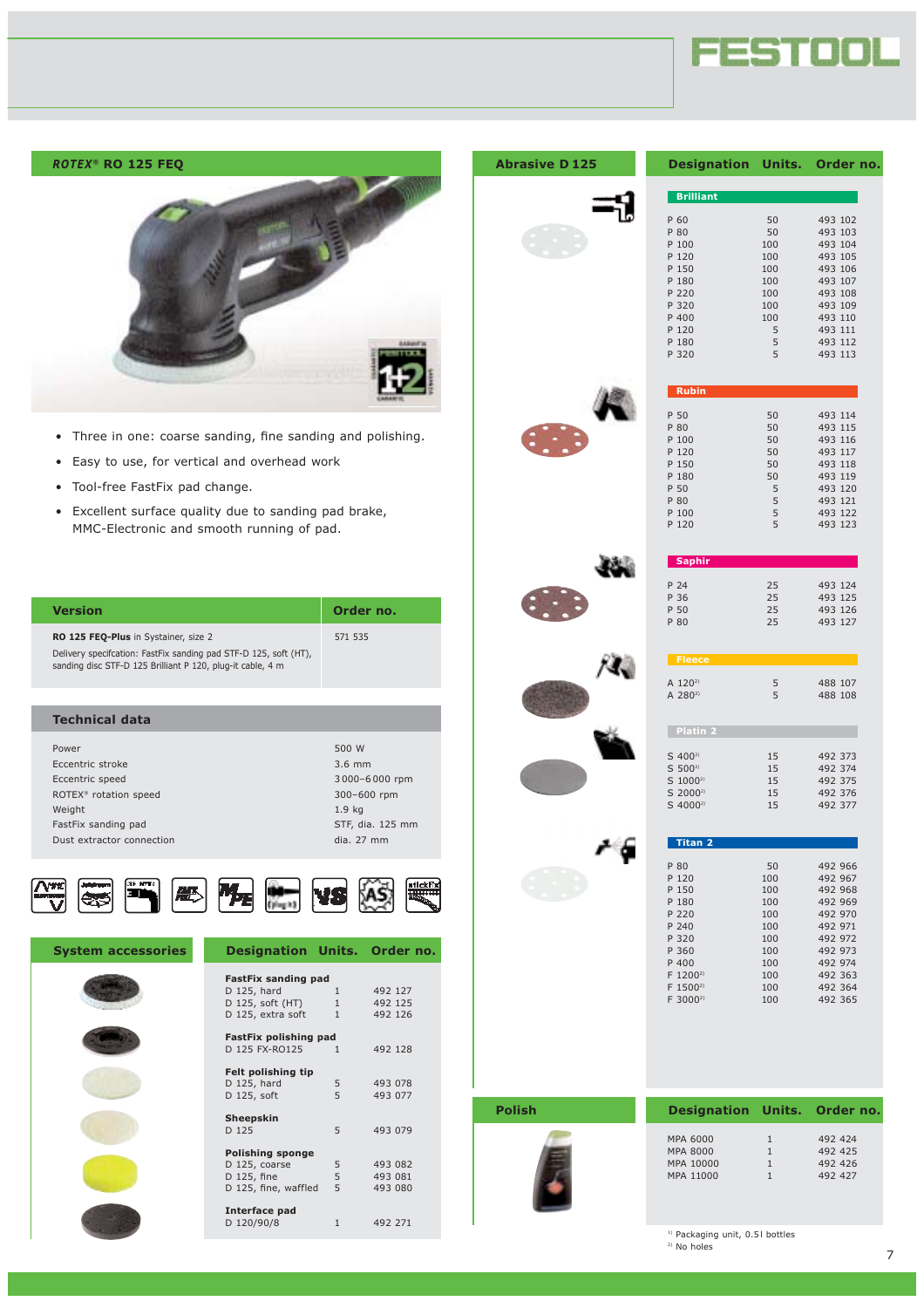



- Three in one: coarse sanding, fine sanding and polishing.
- Easy to use, for vertical and overhead work
- Tool-free FastFix pad change.
- Excellent surface quality due to sanding pad brake, MMC-Electronic and smooth running of pad.

| Version                                                                                                                                                                 | Order no. |
|-------------------------------------------------------------------------------------------------------------------------------------------------------------------------|-----------|
| RO 125 FEQ-Plus in Systainer, size 2<br>Delivery specification: FastFix sanding pad STF-D 125, soft (HT),<br>sanding disc STF-D 125 Brilliant P 120, plug-it cable, 4 m | 571 535   |

| <b>Technical data</b>             |                   |
|-----------------------------------|-------------------|
| Power                             | 500 W             |
|                                   |                   |
| Eccentric stroke                  | $3.6$ mm          |
| Eccentric speed                   | 3000-6000 rpm     |
| ROTEX <sup>®</sup> rotation speed | 300-600 rpm       |
| Weight                            | 1.9 <sub>kg</sub> |
| FastFix sanding pad               | STF, dia. 125 mm  |
| Dust extractor connection         | dia. 27 mm        |
|                                   |                   |



| <b>System accessories</b> | <b>Designation Units. Order no.</b> |              |         |  |
|---------------------------|-------------------------------------|--------------|---------|--|
|                           | <b>FastFix sanding pad</b>          |              |         |  |
|                           | D 125, hard                         | $\mathbf{1}$ | 492 127 |  |
|                           | D 125, soft (HT) 1                  |              | 492 125 |  |
|                           | D 125, extra soft 1                 |              | 492 126 |  |
|                           | FastFix polishing pad               |              |         |  |
|                           | D 125 FX-RO125                      | $\mathbf{1}$ | 492 128 |  |
|                           |                                     |              |         |  |
|                           | Felt polishing tip                  |              |         |  |
|                           | D 125, hard                         | 5            | 493 078 |  |
|                           | D 125, soft                         | 5            | 493 077 |  |
|                           | Sheepskin                           |              |         |  |
|                           | D 125                               | 5            | 493 079 |  |
|                           |                                     |              |         |  |
|                           | <b>Polishing sponge</b>             |              |         |  |
|                           | D 125, coarse                       | 5            | 493 082 |  |
|                           | D 125, fine                         | 5            | 493 081 |  |
|                           | D 125, fine, waffled                | 5            | 493 080 |  |
|                           | Interface pad                       |              |         |  |
|                           | D 120/90/8                          | $\mathbf{1}$ | 492 271 |  |
|                           |                                     |              |         |  |

#### **Abrasive D 125**



| <b>Designation Units. Order no</b> |     |         |
|------------------------------------|-----|---------|
|                                    |     |         |
| <b>Brilliant</b>                   |     |         |
| P 60                               | 50  | 493 102 |
| P 80                               | 50  | 493 103 |
| P 100                              | 100 | 493 104 |
| P 120                              | 100 | 493 105 |
| P 150                              | 100 | 493 106 |
| P 180                              | 100 | 493 107 |
| P 220                              | 100 | 493 108 |
| P 320                              | 100 | 493 109 |
| P 400                              | 100 | 493 110 |
| P 120                              | 5   | 493 111 |
| P 180                              | 5   | 493 112 |
| P 320                              | 5   | 493 113 |
|                                    |     |         |
| <b>Rubin</b>                       |     |         |
| P 50                               | 50  | 493 114 |
| P RO                               | 50  | 493 115 |







| <b>Saphir</b> |    |         |
|---------------|----|---------|
|               |    |         |
| P 24          | 25 | 493 124 |
| P 36          | 25 | 493 125 |
| P 50          | 25 | 493 126 |
| P 80          | 25 | 493 127 |
|               |    |         |



| P 80                               | ᄼ      | $49.5$ $127$       |
|------------------------------------|--------|--------------------|
| <b>Fleece</b>                      |        |                    |
| A 120 <sup>2)</sup><br>A $280^{2}$ | 5<br>5 | 488 107<br>488 108 |
| <b>Platin 2</b>                    |        |                    |

٠

S 400<sup>2)</sup> 15 492 373<br>S 500<sup>2</sup> 15 492 374  $S = 500^{29}$ <br> $S = 500^{29}$ <br> $S = 15$ <br> $S = 492 \cdot 374$ <br> $S = 1000^{29}$ <br> $S = 15$ <br> $S = 492 \cdot 375$  $\begin{array}{cccc} 5 & 1000^{2} & 15 & 492 & 375 \\ 5 & 2000^{2} & 15 & 492 & 376 \end{array}$ S 2000<sup>2)</sup> 15 492 376<br>S 4000<sup>2</sup> 15 492 377 492 377



| <b>Titan 2</b> |     |         |
|----------------|-----|---------|
| P 80           | 50  | 492 966 |
| P 120          | 100 | 492 967 |
| P 150          | 100 | 492 968 |
| P 180          | 100 | 492 969 |
| P 220          | 100 | 492 970 |
| P 240          | 100 | 492 971 |
| P 320          | 100 | 492 972 |
| P 360          | 100 | 492 973 |
| P 400          | 100 | 492 974 |
| $F 1200^{2}$   | 100 | 492 363 |
| $F 1500^{2}$   | 100 | 492 364 |
| $F 3000^{2}$   | 100 | 492 365 |

### **Polish**



| <b>Designation Units. Order no</b> |   |         |
|------------------------------------|---|---------|
| MPA 6000                           | 1 | 492 424 |
| MPA 8000                           | 1 | 492 425 |
| MPA 10000                          | 1 | 492 426 |
| MPA 11000                          | 1 | 492 427 |
|                                    |   |         |

<sup>1)</sup> Packaging unit, 0.51 bottles

2) No holes